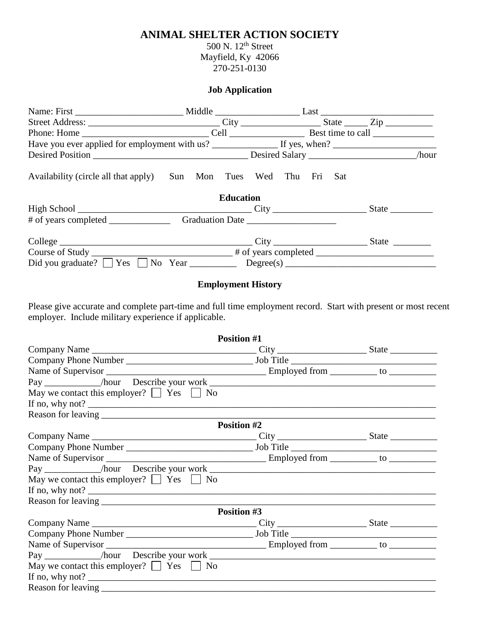## **ANIMAL SHELTER ACTION SOCIETY**

500 N. 12<sup>th</sup> Street Mayfield, Ky 42066 270-251-0130

## **Job Application**

| Availability (circle all that apply)                                              | Sun Mon Tues Wed Thu Fri Sat |  |
|-----------------------------------------------------------------------------------|------------------------------|--|
|                                                                                   | <b>Education</b>             |  |
|                                                                                   |                              |  |
|                                                                                   |                              |  |
|                                                                                   |                              |  |
|                                                                                   |                              |  |
| Did you graduate? $\Box$ Yes $\Box$ No Year $\Box$ Degree(s) $\Box$ $\Box$ $\Box$ |                              |  |
|                                                                                   |                              |  |

## **Employment History**

Please give accurate and complete part-time and full time employment record. Start with present or most recent employer. Include military experience if applicable.

|                                                    | <b>Position #1</b> |  |
|----------------------------------------------------|--------------------|--|
| Company Name                                       |                    |  |
|                                                    |                    |  |
|                                                    |                    |  |
|                                                    |                    |  |
| May we contact this employer? $\Box$ Yes $\Box$ No |                    |  |
| If no, why not? $\qquad \qquad$                    |                    |  |
|                                                    |                    |  |
|                                                    | <b>Position #2</b> |  |
| Company Name                                       |                    |  |
|                                                    |                    |  |
|                                                    |                    |  |
|                                                    |                    |  |
| May we contact this employer? $\Box$ Yes $\Box$ No |                    |  |
|                                                    |                    |  |
|                                                    |                    |  |
|                                                    | Position #3        |  |
|                                                    |                    |  |
|                                                    |                    |  |
|                                                    |                    |  |
|                                                    |                    |  |
| May we contact this employer? $\Box$ Yes $\Box$ No |                    |  |
|                                                    |                    |  |
|                                                    |                    |  |